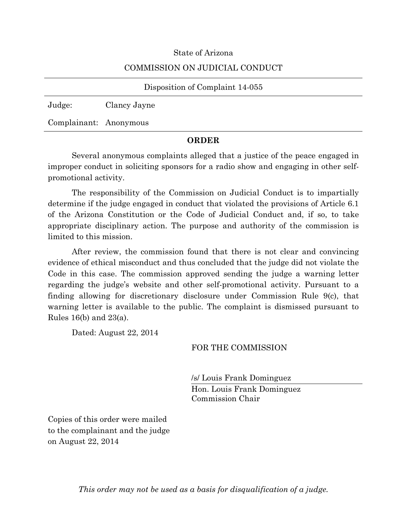### State of Arizona

### COMMISSION ON JUDICIAL CONDUCT

| Disposition of Complaint 14-055 |              |  |  |  |  |
|---------------------------------|--------------|--|--|--|--|
| Judge:                          | Clancy Jayne |  |  |  |  |
| Complainant: Anonymous          |              |  |  |  |  |

## **ORDER**

Several anonymous complaints alleged that a justice of the peace engaged in improper conduct in soliciting sponsors for a radio show and engaging in other selfpromotional activity.

The responsibility of the Commission on Judicial Conduct is to impartially determine if the judge engaged in conduct that violated the provisions of Article 6.1 of the Arizona Constitution or the Code of Judicial Conduct and, if so, to take appropriate disciplinary action. The purpose and authority of the commission is limited to this mission.

After review, the commission found that there is not clear and convincing evidence of ethical misconduct and thus concluded that the judge did not violate the Code in this case. The commission approved sending the judge a warning letter regarding the judge's website and other self-promotional activity. Pursuant to a finding allowing for discretionary disclosure under Commission Rule 9(c), that warning letter is available to the public. The complaint is dismissed pursuant to Rules 16(b) and 23(a).

Dated: August 22, 2014

## FOR THE COMMISSION

/s/ Louis Frank Dominguez

Hon. Louis Frank Dominguez Commission Chair

Copies of this order were mailed to the complainant and the judge on August 22, 2014

*This order may not be used as a basis for disqualification of a judge.*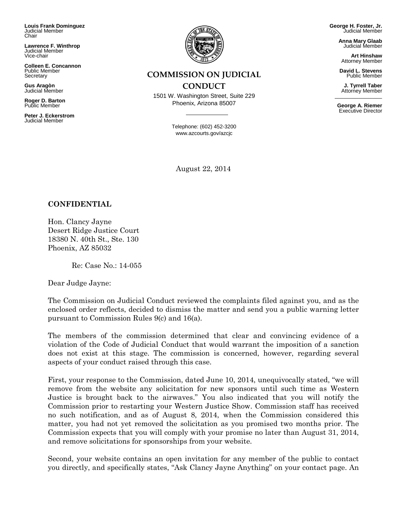**Louis Frank Dominguez** Judicial Member Chair

**Lawrence F. Winthrop** Judicial Member Vice-chair

**Colleen E. Concannon** Public Member **Secretary** 

**Gus Aragòn** Judicial Member

**Roger D. Barton** Public Member

**Peter J. Eckerstrom** Judicial Member



# **COMMISSION ON JUDICIAL**

## **CONDUCT**

1501 W. Washington Street, Suite 229 Phoenix, Arizona 85007

> Telephone: (602) 452-3200 www.azcourts.gov/azcjc

August 22, 2014

**George H. Foster, Jr.** Judicial Member

> **Anna Mary Glaab** Judicial Member

**Art Hinshaw** Attorney Member

**David L. Stevens** Public Member

**J. Tyrrell Taber** Attorney Member

**George A. Riemer** Executive Director

**CONFIDENTIAL**

Hon. Clancy Jayne Desert Ridge Justice Court 18380 N. 40th St., Ste. 130 Phoenix, AZ 85032

Re: Case No.: 14-055

Dear Judge Jayne:

The Commission on Judicial Conduct reviewed the complaints filed against you, and as the enclosed order reflects, decided to dismiss the matter and send you a public warning letter pursuant to Commission Rules 9(c) and 16(a).

The members of the commission determined that clear and convincing evidence of a violation of the Code of Judicial Conduct that would warrant the imposition of a sanction does not exist at this stage. The commission is concerned, however, regarding several aspects of your conduct raised through this case.

First, your response to the Commission, dated June 10, 2014, unequivocally stated, "we will remove from the website any solicitation for new sponsors until such time as Western Justice is brought back to the airwaves." You also indicated that you will notify the Commission prior to restarting your Western Justice Show. Commission staff has received no such notification, and as of August 8, 2014, when the Commission considered this matter, you had not yet removed the solicitation as you promised two months prior. The Commission expects that you will comply with your promise no later than August 31, 2014, and remove solicitations for sponsorships from your website.

Second, your website contains an open invitation for any member of the public to contact you directly, and specifically states, "Ask Clancy Jayne Anything" on your contact page. An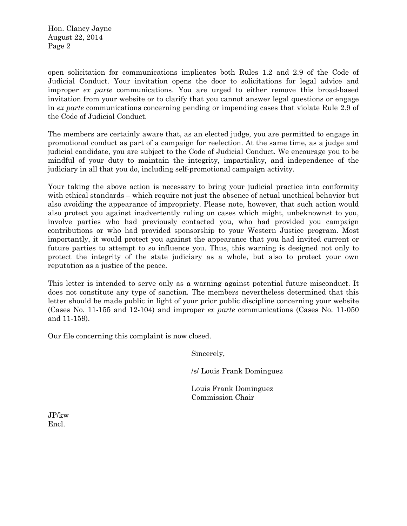Hon. Clancy Jayne August 22, 2014 Page 2

open solicitation for communications implicates both Rules 1.2 and 2.9 of the Code of Judicial Conduct. Your invitation opens the door to solicitations for legal advice and improper *ex parte* communications. You are urged to either remove this broad-based invitation from your website or to clarify that you cannot answer legal questions or engage in *ex parte* communications concerning pending or impending cases that violate Rule 2.9 of the Code of Judicial Conduct.

The members are certainly aware that, as an elected judge, you are permitted to engage in promotional conduct as part of a campaign for reelection. At the same time, as a judge and judicial candidate, you are subject to the Code of Judicial Conduct. We encourage you to be mindful of your duty to maintain the integrity, impartiality, and independence of the judiciary in all that you do, including self-promotional campaign activity.

Your taking the above action is necessary to bring your judicial practice into conformity with ethical standards – which require not just the absence of actual unethical behavior but also avoiding the appearance of impropriety. Please note, however, that such action would also protect you against inadvertently ruling on cases which might, unbeknownst to you, involve parties who had previously contacted you, who had provided you campaign contributions or who had provided sponsorship to your Western Justice program. Most importantly, it would protect you against the appearance that you had invited current or future parties to attempt to so influence you. Thus, this warning is designed not only to protect the integrity of the state judiciary as a whole, but also to protect your own reputation as a justice of the peace.

This letter is intended to serve only as a warning against potential future misconduct. It does not constitute any type of sanction. The members nevertheless determined that this letter should be made public in light of your prior public discipline concerning your website (Cases No. 11-155 and 12-104) and improper *ex parte* communications (Cases No. 11-050 and 11-159).

Our file concerning this complaint is now closed.

Sincerely,

/s/ Louis Frank Dominguez

Louis Frank Dominguez Commission Chair

JP/kw Encl.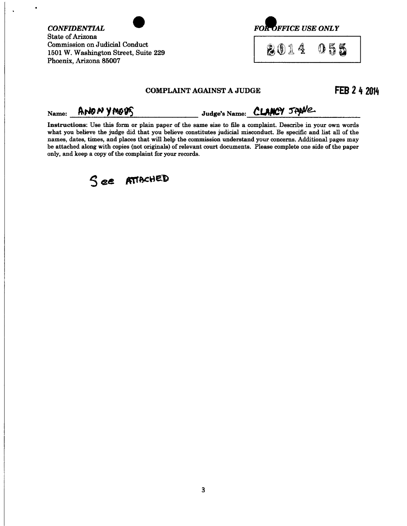| <b>CONFIDENTIAL</b><br><b>State of Arizona</b><br>Commission on Judicial Conduct<br>1501 W. Washington Street, Suite 229<br>Phoenix, Arizona 85007 |                                                                                                                                                                                                                                                                                                                                                                                                                                                                                                                                 |                           | <b>FOR OFFICE USE ONLY</b> |  |              |  |
|----------------------------------------------------------------------------------------------------------------------------------------------------|---------------------------------------------------------------------------------------------------------------------------------------------------------------------------------------------------------------------------------------------------------------------------------------------------------------------------------------------------------------------------------------------------------------------------------------------------------------------------------------------------------------------------------|---------------------------|----------------------------|--|--------------|--|
|                                                                                                                                                    |                                                                                                                                                                                                                                                                                                                                                                                                                                                                                                                                 |                           | 2014                       |  | 55           |  |
|                                                                                                                                                    |                                                                                                                                                                                                                                                                                                                                                                                                                                                                                                                                 | COMPLAINT AGAINST A JUDGE |                            |  | FEB 2 4 2014 |  |
| Name:                                                                                                                                              | ANONYMOUS                                                                                                                                                                                                                                                                                                                                                                                                                                                                                                                       | Judge's Name: CLANCY JAME |                            |  |              |  |
|                                                                                                                                                    | Instructions: Use this form or plain paper of the same size to file a complaint. Describe in your own words<br>what you believe the judge did that you believe constitutes judicial misconduct. Be specific and list all of the<br>names, dates, times, and places that will help the commission understand your concerns. Additional pages may<br>be attached along with copies (not originals) of relevant court documents. Please complete one side of the paper<br>only, and keep a copy of the complaint for your records. |                           |                            |  |              |  |



 $\bullet$ 

 $\ddot{\phantom{a}}$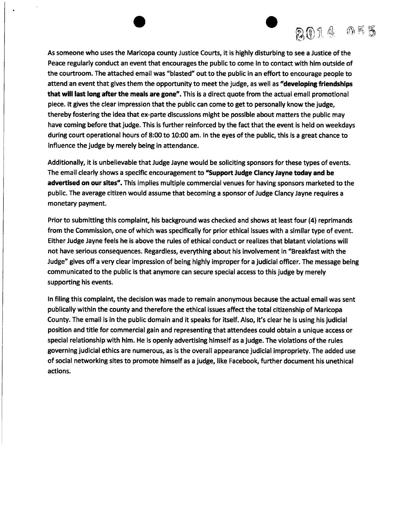

As someone who uses the Maricopa county Justice Courts, it is highly disturbing to see a Justice of the Peace regularly conduct an event that encourages the public to come in to contact with him outside of the courtroom. The attached email was "blasted" out to the public in an effort to encourage people to attend an event that gives them the opportunity to meet the judge, as well as "developing friendships that will last long after the meals are gone". This is a direct quote from the actual email promotional piece. It gives the clear impression that the public can come to get to personally know the judge, thereby fostering the idea that ex-parte discussions might be possible about matters the public may have coming before that judge. This is further reinforced by the fact that the event is held on weekdays during court operational hours of 8:00 to 10:00 am. In the eyes of the public, this is a great chance to influence the judge by merely being in attendance.

Additionally, it is unbelievable that Judge Jayne would be soliciting sponsors for these types of events. The email clearly shows a specific encouragement to "Support Judge Clancy Jayne today and be advertised on our sites". This implies multiple commercial venues for having sponsors marketed to the public. The average citizen would assume that becoming a sponsor of Judge Clancy Jayne requires a monetary payment.

Prior to submitting this complaint, his background was checked and shows at least four (4) reprimands from the Commission, one of which was specifically for prior ethical issues with a similar type of event. Either Judge Jayne feels he is above the rules of ethical conduct or realizes that blatant violations will not have serious consequences. Regardless, everything about his involvement in "Breakfast with the Judge" gives off a very clear impression of being highly improper for a judicial officer. The message being communicated to the public is that anymore can secure special access to this judge by merely supporting his events.

In filing this complaint, the decision was made to remain anonymous because the actual email was sent publically within the county and therefore the ethical issues affect the total citizenship of Maricopa County. The email is in the public domain and it speaks for itself. Also, it's clear he is using his judicial position and title for commercial gain and representing that attendees could obtain a unique access or special relationship with him. He is openly advertising himself as a judge. The violations of the rules governing judicial ethics are numerous, as is the overall appearance judicial impropriety. The added use of social networking sites to promote himself as a judge, like Facebook, further document his unethical actions.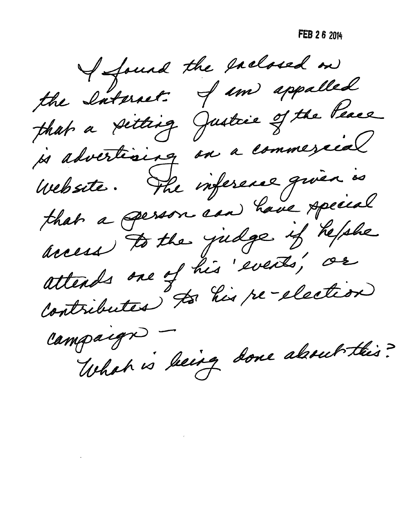FEB 2 6 2014

I found the eachored on the Saturet. I un appalled that a setting Justice of the Peace js advertising on a commescéal Website. The inference quien is that a gerson can have special access to the judge if hefshe attends one of his events, or contributes "Ja his re-election

Campaign -What is being done about this?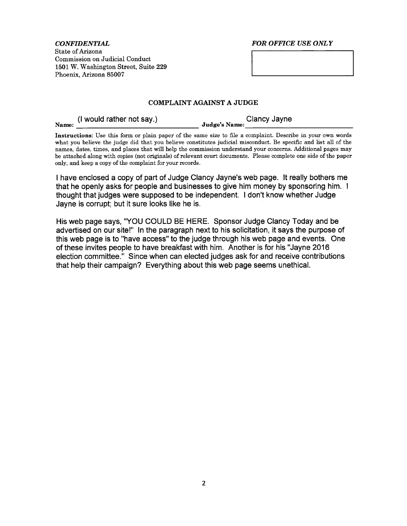**CONFIDENTIAL** State of Arizona Commission on Judicial Conduct 1501 W. Washington Street, Suite 229 Phoenix, Arizona 85007

#### **FOR OFFICE USE ONLY**

#### **COMPLAINT AGAINST A JUDGE**

(I would rather not say.) Name:

Clancy Jayne Judge's Name:

Instructions: Use this form or plain paper of the same size to file a complaint. Describe in your own words what you believe the judge did that you believe constitutes judicial misconduct. Be specific and list all of the names, dates, times, and places that will help the commission understand your concerns. Additional pages may be attached along with copies (not originals) of relevant court documents. Please complete one side of the paper only, and keep a copy of the complaint for your records.

I have enclosed a copy of part of Judge Clancy Jayne's web page. It really bothers me that he openly asks for people and businesses to give him money by sponsoring him. I thought that judges were supposed to be independent. I don't know whether Judge Jayne is corrupt; but it sure looks like he is.

His web page says, "YOU COULD BE HERE. Sponsor Judge Clancy Today and be advertised on our site!" In the paragraph next to his solicitation, it says the purpose of this web page is to "have access" to the judge through his web page and events. One of these invites people to have breakfast with him. Another is for his "Jayne 2016 election committee." Since when can elected judges ask for and receive contributions that help their campaign? Everything about this web page seems unethical.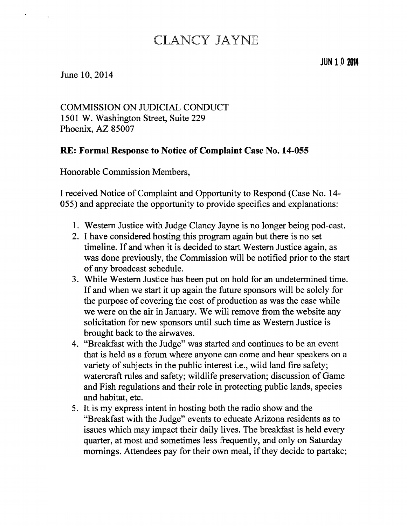# **CLANCY JAYNE**

# June 10, 2014

**COMMISSION ON JUDICIAL CONDUCT** 1501 W. Washington Street, Suite 229 Phoenix, AZ 85007

# RE: Formal Response to Notice of Complaint Case No. 14-055

Honorable Commission Members,

I received Notice of Complaint and Opportunity to Respond (Case No. 14-055) and appreciate the opportunity to provide specifics and explanations:

- 1. Western Justice with Judge Clancy Jayne is no longer being pod-cast.
- 2. I have considered hosting this program again but there is no set timeline. If and when it is decided to start Western Justice again, as was done previously, the Commission will be notified prior to the start of any broadcast schedule.
- 3. While Western Justice has been put on hold for an undetermined time. If and when we start it up again the future sponsors will be solely for the purpose of covering the cost of production as was the case while we were on the air in January. We will remove from the website any solicitation for new sponsors until such time as Western Justice is brought back to the airwayes.
- 4. "Breakfast with the Judge" was started and continues to be an event that is held as a forum where anyone can come and hear speakers on a variety of subjects in the public interest i.e., wild land fire safety; watercraft rules and safety; wildlife preservation; discussion of Game and Fish regulations and their role in protecting public lands, species and habitat, etc.
- 5. It is my express intent in hosting both the radio show and the "Breakfast with the Judge" events to educate Arizona residents as to issues which may impact their daily lives. The breakfast is held every quarter, at most and sometimes less frequently, and only on Saturday mornings. Attendees pay for their own meal, if they decide to partake;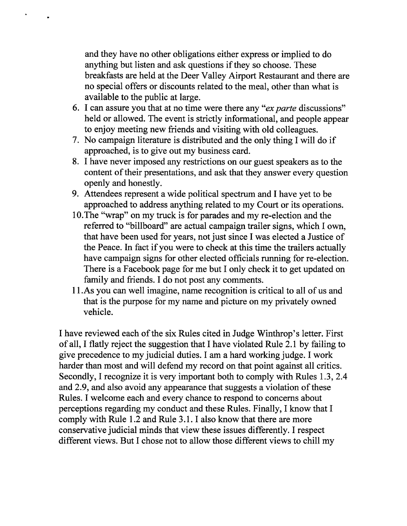and they have no other obligations either express or implied to do anything but listen and ask questions if they so choose. These breakfasts are held at the Deer Valley Airport Restaurant and there are no special offers or discounts related to the meal, other than what is available to the public at large.

- 6. I can assure you that at no time were there any "ex parte discussions" held or allowed. The event is strictly informational, and people appear to enjoy meeting new friends and visiting with old colleagues.
- 7. No campaign literature is distributed and the only thing I will do if approached, is to give out my business card.
- 8. I have never imposed any restrictions on our guest speakers as to the content of their presentations, and ask that they answer every question openly and honestly.
- 9. Attendees represent a wide political spectrum and I have yet to be approached to address anything related to my Court or its operations.
- 10. The "wrap" on my truck is for parades and my re-election and the referred to "billboard" are actual campaign trailer signs, which I own, that have been used for years, not just since I was elected a Justice of the Peace. In fact if you were to check at this time the trailers actually have campaign signs for other elected officials running for re-election. There is a Facebook page for me but I only check it to get updated on family and friends. I do not post any comments.
- 11. As you can well imagine, name recognition is critical to all of us and that is the purpose for my name and picture on my privately owned vehicle.

I have reviewed each of the six Rules cited in Judge Winthrop's letter. First of all, I flatly reject the suggestion that I have violated Rule 2.1 by failing to give precedence to my judicial duties. I am a hard working judge. I work harder than most and will defend my record on that point against all critics. Secondly, I recognize it is very important both to comply with Rules 1.3, 2.4 and 2.9, and also avoid any appearance that suggests a violation of these Rules. I welcome each and every chance to respond to concerns about perceptions regarding my conduct and these Rules. Finally, I know that I comply with Rule 1.2 and Rule 3.1. I also know that there are more conservative judicial minds that view these issues differently. I respect different views. But I chose not to allow those different views to chill my